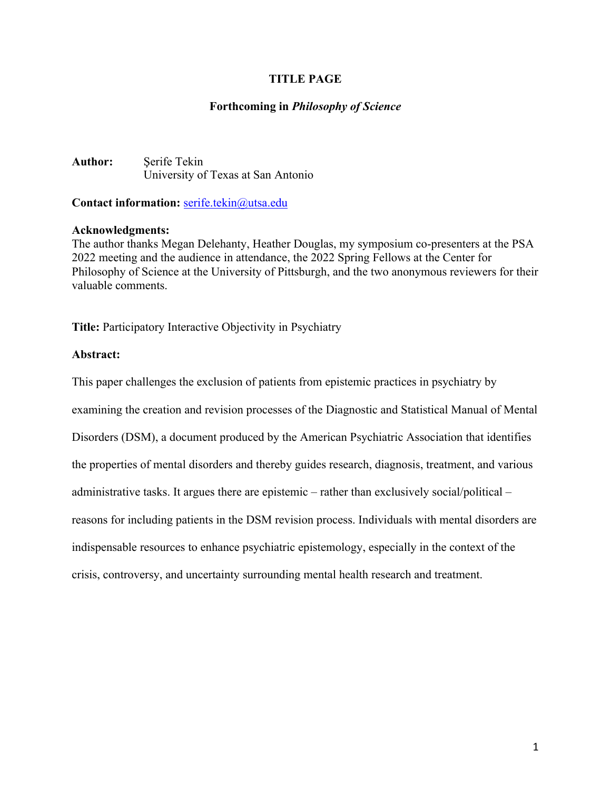# **TITLE PAGE**

## **Forthcoming in** *Philosophy of Science*

Author: Serife Tekin University of Texas at San Antonio

# **Contact information:** serife.tekin@utsa.edu

### **Acknowledgments:**

The author thanks Megan Delehanty, Heather Douglas, my symposium co-presenters at the PSA 2022 meeting and the audience in attendance, the 2022 Spring Fellows at the Center for Philosophy of Science at the University of Pittsburgh, and the two anonymous reviewers for their valuable comments.

**Title:** Participatory Interactive Objectivity in Psychiatry

# **Abstract:**

This paper challenges the exclusion of patients from epistemic practices in psychiatry by examining the creation and revision processes of the Diagnostic and Statistical Manual of Mental Disorders (DSM), a document produced by the American Psychiatric Association that identifies the properties of mental disorders and thereby guides research, diagnosis, treatment, and various administrative tasks. It argues there are epistemic – rather than exclusively social/political – reasons for including patients in the DSM revision process. Individuals with mental disorders are indispensable resources to enhance psychiatric epistemology, especially in the context of the crisis, controversy, and uncertainty surrounding mental health research and treatment.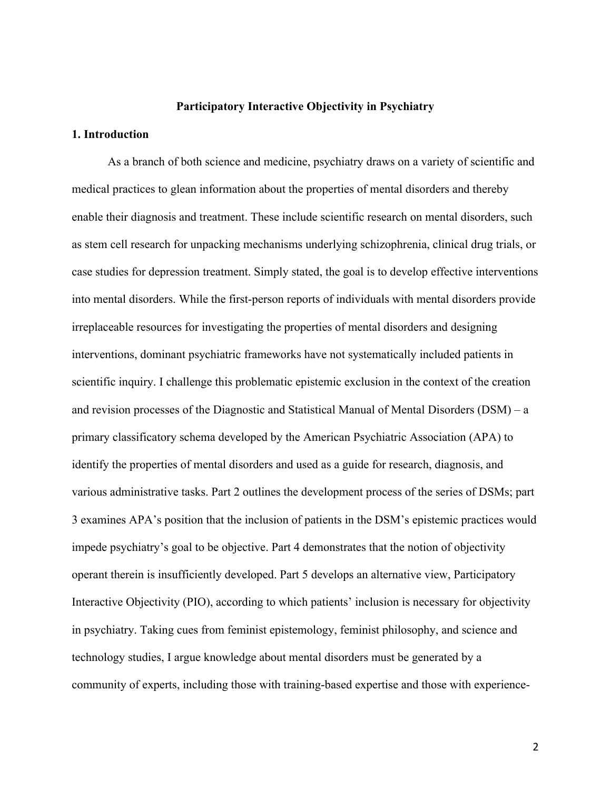#### **Participatory Interactive Objectivity in Psychiatry**

#### **1. Introduction**

As a branch of both science and medicine, psychiatry draws on a variety of scientific and medical practices to glean information about the properties of mental disorders and thereby enable their diagnosis and treatment. These include scientific research on mental disorders, such as stem cell research for unpacking mechanisms underlying schizophrenia, clinical drug trials, or case studies for depression treatment. Simply stated, the goal is to develop effective interventions into mental disorders. While the first-person reports of individuals with mental disorders provide irreplaceable resources for investigating the properties of mental disorders and designing interventions, dominant psychiatric frameworks have not systematically included patients in scientific inquiry. I challenge this problematic epistemic exclusion in the context of the creation and revision processes of the Diagnostic and Statistical Manual of Mental Disorders (DSM) – a primary classificatory schema developed by the American Psychiatric Association (APA) to identify the properties of mental disorders and used as a guide for research, diagnosis, and various administrative tasks. Part 2 outlines the development process of the series of DSMs; part 3 examines APA's position that the inclusion of patients in the DSM's epistemic practices would impede psychiatry's goal to be objective. Part 4 demonstrates that the notion of objectivity operant therein is insufficiently developed. Part 5 develops an alternative view, Participatory Interactive Objectivity (PIO), according to which patients' inclusion is necessary for objectivity in psychiatry. Taking cues from feminist epistemology, feminist philosophy, and science and technology studies, I argue knowledge about mental disorders must be generated by a community of experts, including those with training-based expertise and those with experience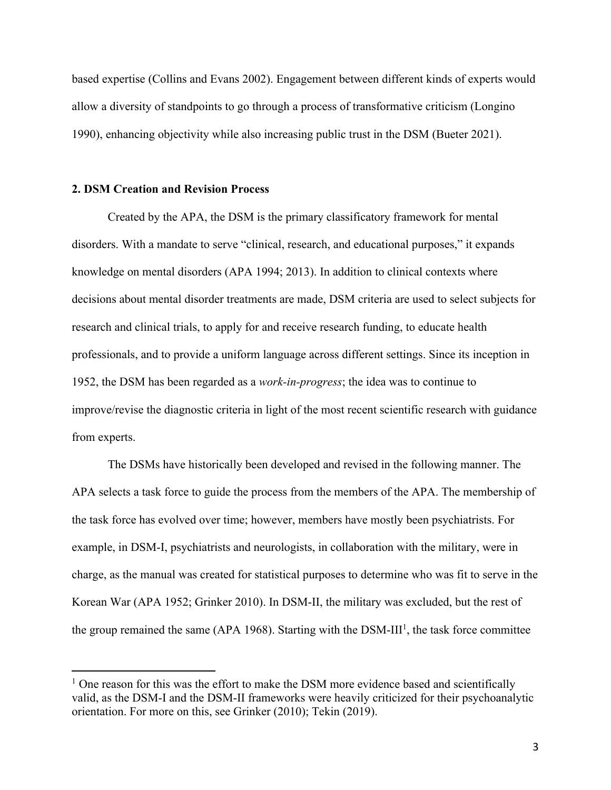based expertise (Collins and Evans 2002). Engagement between different kinds of experts would allow a diversity of standpoints to go through a process of transformative criticism (Longino 1990), enhancing objectivity while also increasing public trust in the DSM (Bueter 2021).

### **2. DSM Creation and Revision Process**

Created by the APA, the DSM is the primary classificatory framework for mental disorders. With a mandate to serve "clinical, research, and educational purposes," it expands knowledge on mental disorders (APA 1994; 2013). In addition to clinical contexts where decisions about mental disorder treatments are made, DSM criteria are used to select subjects for research and clinical trials, to apply for and receive research funding, to educate health professionals, and to provide a uniform language across different settings. Since its inception in 1952, the DSM has been regarded as a *work-in-progress*; the idea was to continue to improve/revise the diagnostic criteria in light of the most recent scientific research with guidance from experts.

The DSMs have historically been developed and revised in the following manner. The APA selects a task force to guide the process from the members of the APA. The membership of the task force has evolved over time; however, members have mostly been psychiatrists. For example, in DSM-I, psychiatrists and neurologists, in collaboration with the military, were in charge, as the manual was created for statistical purposes to determine who was fit to serve in the Korean War (APA 1952; Grinker 2010). In DSM-II, the military was excluded, but the rest of the group remained the same (APA 1968). Starting with the DSM-III<sup>1</sup>, the task force committee

 $1$  One reason for this was the effort to make the DSM more evidence based and scientifically valid, as the DSM-I and the DSM-II frameworks were heavily criticized for their psychoanalytic orientation. For more on this, see Grinker (2010); Tekin (2019).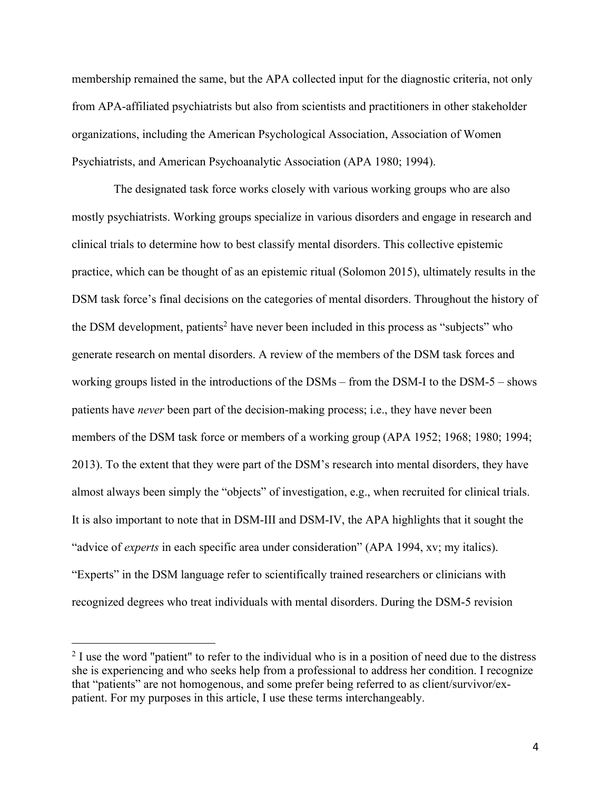membership remained the same, but the APA collected input for the diagnostic criteria, not only from APA-affiliated psychiatrists but also from scientists and practitioners in other stakeholder organizations, including the American Psychological Association, Association of Women Psychiatrists, and American Psychoanalytic Association (APA 1980; 1994).

 The designated task force works closely with various working groups who are also mostly psychiatrists. Working groups specialize in various disorders and engage in research and clinical trials to determine how to best classify mental disorders. This collective epistemic practice, which can be thought of as an epistemic ritual (Solomon 2015), ultimately results in the DSM task force's final decisions on the categories of mental disorders. Throughout the history of the DSM development, patients<sup>2</sup> have never been included in this process as "subjects" who generate research on mental disorders. A review of the members of the DSM task forces and working groups listed in the introductions of the DSMs – from the DSM-I to the DSM-5 – shows patients have *never* been part of the decision-making process; i.e., they have never been members of the DSM task force or members of a working group (APA 1952; 1968; 1980; 1994; 2013). To the extent that they were part of the DSM's research into mental disorders, they have almost always been simply the "objects" of investigation, e.g., when recruited for clinical trials. It is also important to note that in DSM-III and DSM-IV, the APA highlights that it sought the "advice of *experts* in each specific area under consideration" (APA 1994, xv; my italics). "Experts" in the DSM language refer to scientifically trained researchers or clinicians with recognized degrees who treat individuals with mental disorders. During the DSM-5 revision

 $2$  I use the word "patient" to refer to the individual who is in a position of need due to the distress she is experiencing and who seeks help from a professional to address her condition. I recognize that "patients" are not homogenous, and some prefer being referred to as client/survivor/expatient. For my purposes in this article, I use these terms interchangeably.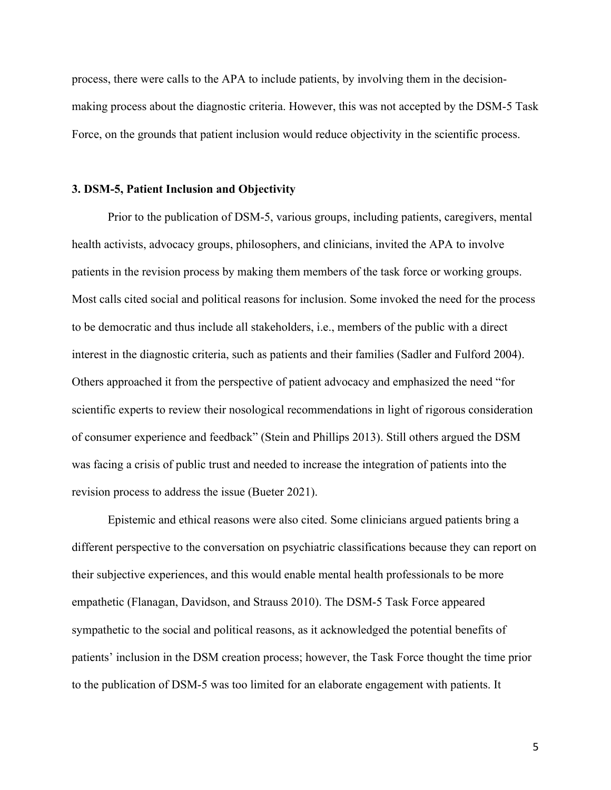process, there were calls to the APA to include patients, by involving them in the decisionmaking process about the diagnostic criteria. However, this was not accepted by the DSM-5 Task Force, on the grounds that patient inclusion would reduce objectivity in the scientific process.

#### **3. DSM-5, Patient Inclusion and Objectivity**

Prior to the publication of DSM-5, various groups, including patients, caregivers, mental health activists, advocacy groups, philosophers, and clinicians, invited the APA to involve patients in the revision process by making them members of the task force or working groups. Most calls cited social and political reasons for inclusion. Some invoked the need for the process to be democratic and thus include all stakeholders, i.e., members of the public with a direct interest in the diagnostic criteria, such as patients and their families (Sadler and Fulford 2004). Others approached it from the perspective of patient advocacy and emphasized the need "for scientific experts to review their nosological recommendations in light of rigorous consideration of consumer experience and feedback" (Stein and Phillips 2013). Still others argued the DSM was facing a crisis of public trust and needed to increase the integration of patients into the revision process to address the issue (Bueter 2021).

Epistemic and ethical reasons were also cited. Some clinicians argued patients bring a different perspective to the conversation on psychiatric classifications because they can report on their subjective experiences, and this would enable mental health professionals to be more empathetic (Flanagan, Davidson, and Strauss 2010). The DSM-5 Task Force appeared sympathetic to the social and political reasons, as it acknowledged the potential benefits of patients' inclusion in the DSM creation process; however, the Task Force thought the time prior to the publication of DSM-5 was too limited for an elaborate engagement with patients. It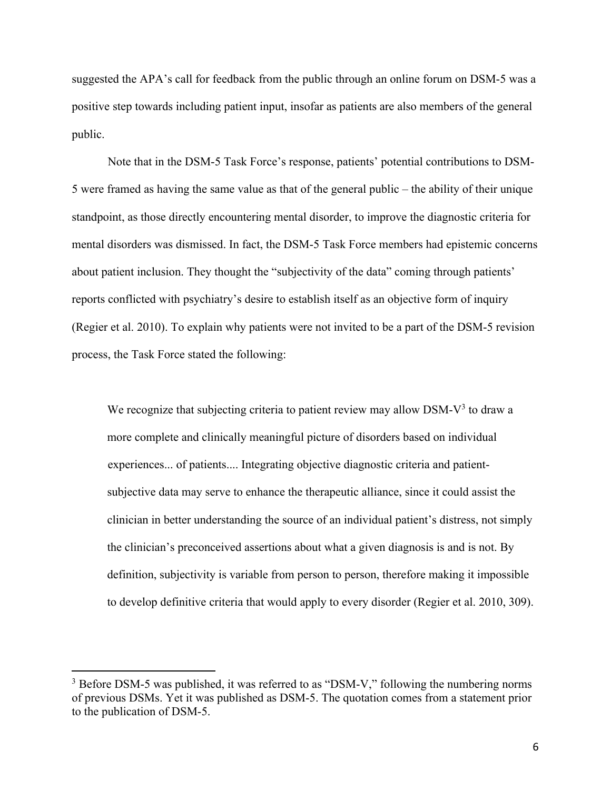suggested the APA's call for feedback from the public through an online forum on DSM-5 was a positive step towards including patient input, insofar as patients are also members of the general public.

Note that in the DSM-5 Task Force's response, patients' potential contributions to DSM-5 were framed as having the same value as that of the general public – the ability of their unique standpoint, as those directly encountering mental disorder, to improve the diagnostic criteria for mental disorders was dismissed. In fact, the DSM-5 Task Force members had epistemic concerns about patient inclusion. They thought the "subjectivity of the data" coming through patients' reports conflicted with psychiatry's desire to establish itself as an objective form of inquiry (Regier et al. 2010). To explain why patients were not invited to be a part of the DSM-5 revision process, the Task Force stated the following:

We recognize that subjecting criteria to patient review may allow  $DSM-V<sup>3</sup>$  to draw a more complete and clinically meaningful picture of disorders based on individual experiences... of patients.... Integrating objective diagnostic criteria and patientsubjective data may serve to enhance the therapeutic alliance, since it could assist the clinician in better understanding the source of an individual patient's distress, not simply the clinician's preconceived assertions about what a given diagnosis is and is not. By definition, subjectivity is variable from person to person, therefore making it impossible to develop definitive criteria that would apply to every disorder (Regier et al. 2010, 309).

<sup>&</sup>lt;sup>3</sup> Before DSM-5 was published, it was referred to as "DSM-V," following the numbering norms of previous DSMs. Yet it was published as DSM-5. The quotation comes from a statement prior to the publication of DSM-5.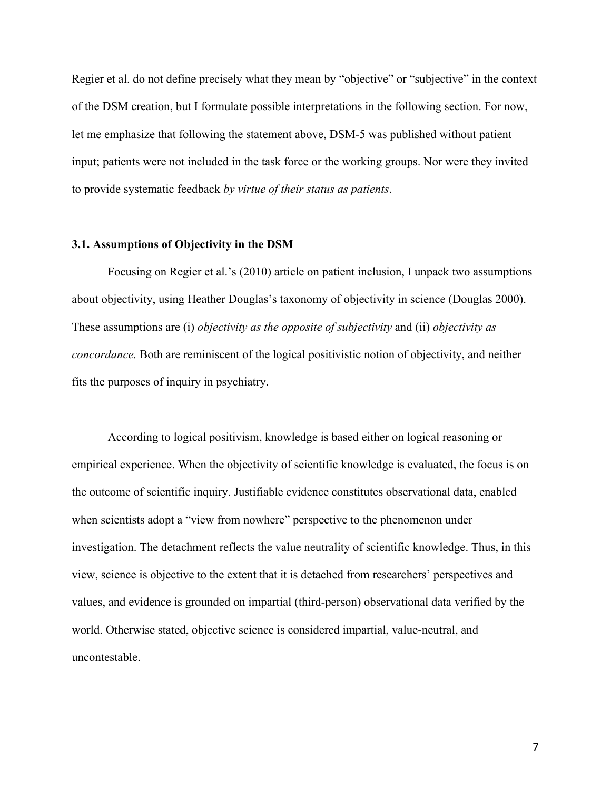Regier et al. do not define precisely what they mean by "objective" or "subjective" in the context of the DSM creation, but I formulate possible interpretations in the following section. For now, let me emphasize that following the statement above, DSM-5 was published without patient input; patients were not included in the task force or the working groups. Nor were they invited to provide systematic feedback *by virtue of their status as patients*.

### **3.1. Assumptions of Objectivity in the DSM**

Focusing on Regier et al.'s (2010) article on patient inclusion, I unpack two assumptions about objectivity, using Heather Douglas's taxonomy of objectivity in science (Douglas 2000). These assumptions are (i) *objectivity as the opposite of subjectivity* and (ii) *objectivity as concordance.* Both are reminiscent of the logical positivistic notion of objectivity, and neither fits the purposes of inquiry in psychiatry.

According to logical positivism, knowledge is based either on logical reasoning or empirical experience. When the objectivity of scientific knowledge is evaluated, the focus is on the outcome of scientific inquiry. Justifiable evidence constitutes observational data, enabled when scientists adopt a "view from nowhere" perspective to the phenomenon under investigation. The detachment reflects the value neutrality of scientific knowledge. Thus, in this view, science is objective to the extent that it is detached from researchers' perspectives and values, and evidence is grounded on impartial (third-person) observational data verified by the world. Otherwise stated, objective science is considered impartial, value-neutral, and uncontestable.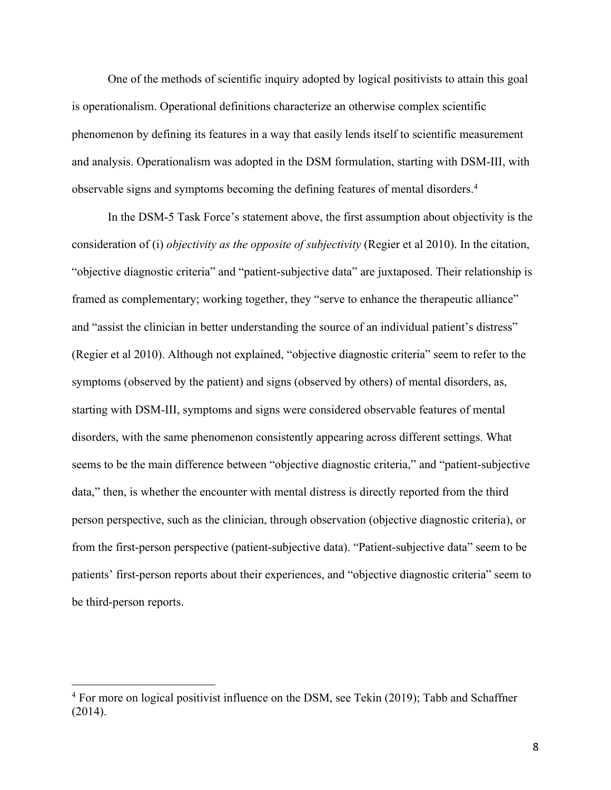One of the methods of scientific inquiry adopted by logical positivists to attain this goal is operationalism. Operational definitions characterize an otherwise complex scientific phenomenon by defining its features in a way that easily lends itself to scientific measurement and analysis. Operationalism was adopted in the DSM formulation, starting with DSM-III, with observable signs and symptoms becoming the defining features of mental disorders.4

In the DSM-5 Task Force's statement above, the first assumption about objectivity is the consideration of (i) *objectivity as the opposite of subjectivity* (Regier et al 2010). In the citation, "objective diagnostic criteria" and "patient-subjective data" are juxtaposed. Their relationship is framed as complementary; working together, they "serve to enhance the therapeutic alliance" and "assist the clinician in better understanding the source of an individual patient's distress" (Regier et al 2010). Although not explained, "objective diagnostic criteria" seem to refer to the symptoms (observed by the patient) and signs (observed by others) of mental disorders, as, starting with DSM-III, symptoms and signs were considered observable features of mental disorders, with the same phenomenon consistently appearing across different settings. What seems to be the main difference between "objective diagnostic criteria," and "patient-subjective data," then, is whether the encounter with mental distress is directly reported from the third person perspective, such as the clinician, through observation (objective diagnostic criteria), or from the first-person perspective (patient-subjective data). "Patient-subjective data" seem to be patients' first-person reports about their experiences, and "objective diagnostic criteria" seem to be third-person reports.

<sup>4</sup> For more on logical positivist influence on the DSM, see Tekin (2019); Tabb and Schaffner (2014).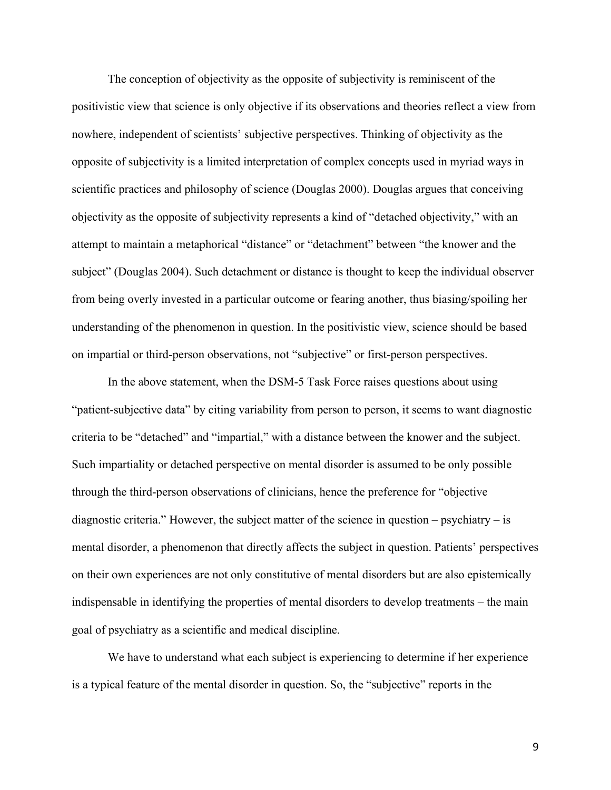The conception of objectivity as the opposite of subjectivity is reminiscent of the positivistic view that science is only objective if its observations and theories reflect a view from nowhere, independent of scientists' subjective perspectives. Thinking of objectivity as the opposite of subjectivity is a limited interpretation of complex concepts used in myriad ways in scientific practices and philosophy of science (Douglas 2000). Douglas argues that conceiving objectivity as the opposite of subjectivity represents a kind of "detached objectivity," with an attempt to maintain a metaphorical "distance" or "detachment" between "the knower and the subject" (Douglas 2004). Such detachment or distance is thought to keep the individual observer from being overly invested in a particular outcome or fearing another, thus biasing/spoiling her understanding of the phenomenon in question. In the positivistic view, science should be based on impartial or third-person observations, not "subjective" or first-person perspectives.

In the above statement, when the DSM-5 Task Force raises questions about using "patient-subjective data" by citing variability from person to person, it seems to want diagnostic criteria to be "detached" and "impartial," with a distance between the knower and the subject. Such impartiality or detached perspective on mental disorder is assumed to be only possible through the third-person observations of clinicians, hence the preference for "objective diagnostic criteria." However, the subject matter of the science in question – psychiatry – is mental disorder, a phenomenon that directly affects the subject in question. Patients' perspectives on their own experiences are not only constitutive of mental disorders but are also epistemically indispensable in identifying the properties of mental disorders to develop treatments – the main goal of psychiatry as a scientific and medical discipline.

We have to understand what each subject is experiencing to determine if her experience is a typical feature of the mental disorder in question. So, the "subjective" reports in the

9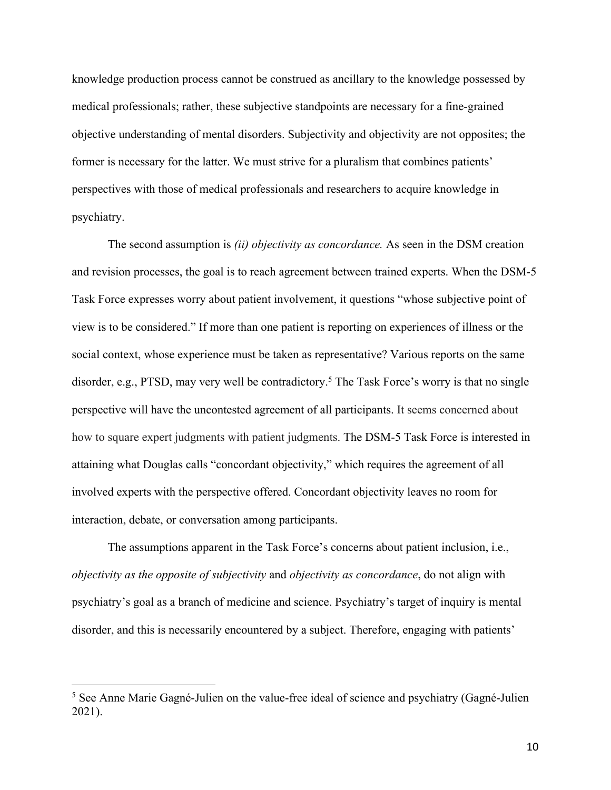knowledge production process cannot be construed as ancillary to the knowledge possessed by medical professionals; rather, these subjective standpoints are necessary for a fine-grained objective understanding of mental disorders. Subjectivity and objectivity are not opposites; the former is necessary for the latter. We must strive for a pluralism that combines patients' perspectives with those of medical professionals and researchers to acquire knowledge in psychiatry.

The second assumption is *(ii) objectivity as concordance.* As seen in the DSM creation and revision processes, the goal is to reach agreement between trained experts. When the DSM-5 Task Force expresses worry about patient involvement, it questions "whose subjective point of view is to be considered." If more than one patient is reporting on experiences of illness or the social context, whose experience must be taken as representative? Various reports on the same disorder, e.g., PTSD, may very well be contradictory.<sup>5</sup> The Task Force's worry is that no single perspective will have the uncontested agreement of all participants. It seems concerned about how to square expert judgments with patient judgments. The DSM-5 Task Force is interested in attaining what Douglas calls "concordant objectivity," which requires the agreement of all involved experts with the perspective offered. Concordant objectivity leaves no room for interaction, debate, or conversation among participants.

The assumptions apparent in the Task Force's concerns about patient inclusion, i.e., *objectivity as the opposite of subjectivity* and *objectivity as concordance*, do not align with psychiatry's goal as a branch of medicine and science. Psychiatry's target of inquiry is mental disorder, and this is necessarily encountered by a subject. Therefore, engaging with patients'

<sup>5</sup> See Anne Marie Gagné-Julien on the value-free ideal of science and psychiatry (Gagné-Julien 2021).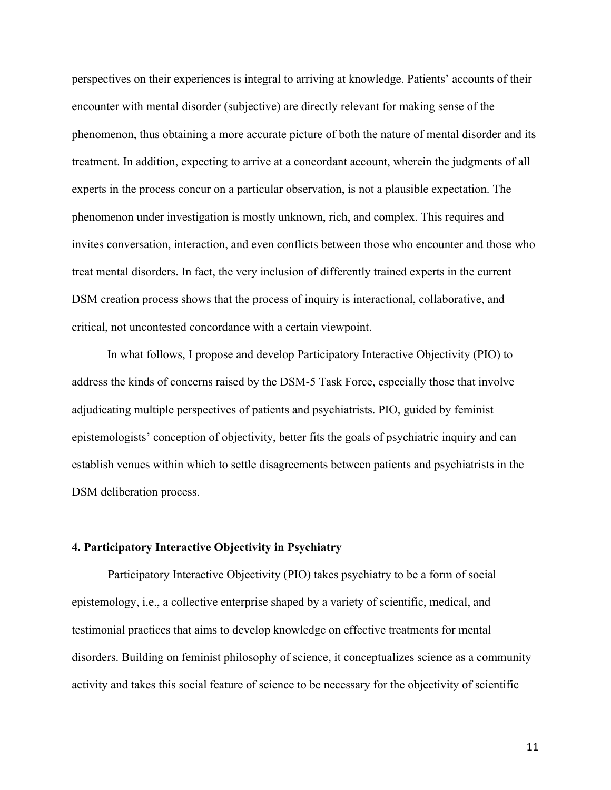perspectives on their experiences is integral to arriving at knowledge. Patients' accounts of their encounter with mental disorder (subjective) are directly relevant for making sense of the phenomenon, thus obtaining a more accurate picture of both the nature of mental disorder and its treatment. In addition, expecting to arrive at a concordant account, wherein the judgments of all experts in the process concur on a particular observation, is not a plausible expectation. The phenomenon under investigation is mostly unknown, rich, and complex. This requires and invites conversation, interaction, and even conflicts between those who encounter and those who treat mental disorders. In fact, the very inclusion of differently trained experts in the current DSM creation process shows that the process of inquiry is interactional, collaborative, and critical, not uncontested concordance with a certain viewpoint.

In what follows, I propose and develop Participatory Interactive Objectivity (PIO) to address the kinds of concerns raised by the DSM-5 Task Force, especially those that involve adjudicating multiple perspectives of patients and psychiatrists. PIO, guided by feminist epistemologists' conception of objectivity, better fits the goals of psychiatric inquiry and can establish venues within which to settle disagreements between patients and psychiatrists in the DSM deliberation process.

## **4. Participatory Interactive Objectivity in Psychiatry**

Participatory Interactive Objectivity (PIO) takes psychiatry to be a form of social epistemology, i.e., a collective enterprise shaped by a variety of scientific, medical, and testimonial practices that aims to develop knowledge on effective treatments for mental disorders. Building on feminist philosophy of science, it conceptualizes science as a community activity and takes this social feature of science to be necessary for the objectivity of scientific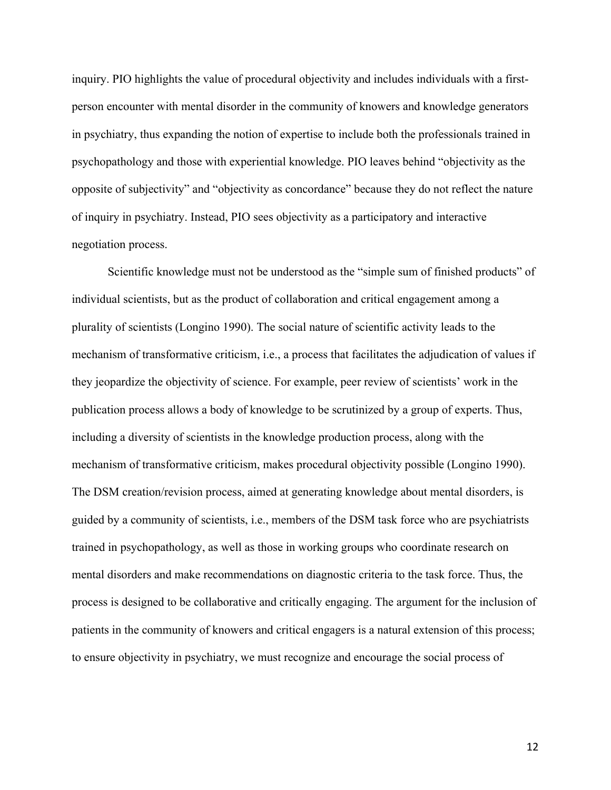inquiry. PIO highlights the value of procedural objectivity and includes individuals with a firstperson encounter with mental disorder in the community of knowers and knowledge generators in psychiatry, thus expanding the notion of expertise to include both the professionals trained in psychopathology and those with experiential knowledge. PIO leaves behind "objectivity as the opposite of subjectivity" and "objectivity as concordance" because they do not reflect the nature of inquiry in psychiatry. Instead, PIO sees objectivity as a participatory and interactive negotiation process.

Scientific knowledge must not be understood as the "simple sum of finished products" of individual scientists, but as the product of collaboration and critical engagement among a plurality of scientists (Longino 1990). The social nature of scientific activity leads to the mechanism of transformative criticism, i.e., a process that facilitates the adjudication of values if they jeopardize the objectivity of science. For example, peer review of scientists' work in the publication process allows a body of knowledge to be scrutinized by a group of experts. Thus, including a diversity of scientists in the knowledge production process, along with the mechanism of transformative criticism, makes procedural objectivity possible (Longino 1990). The DSM creation/revision process, aimed at generating knowledge about mental disorders, is guided by a community of scientists, i.e., members of the DSM task force who are psychiatrists trained in psychopathology, as well as those in working groups who coordinate research on mental disorders and make recommendations on diagnostic criteria to the task force. Thus, the process is designed to be collaborative and critically engaging. The argument for the inclusion of patients in the community of knowers and critical engagers is a natural extension of this process; to ensure objectivity in psychiatry, we must recognize and encourage the social process of

12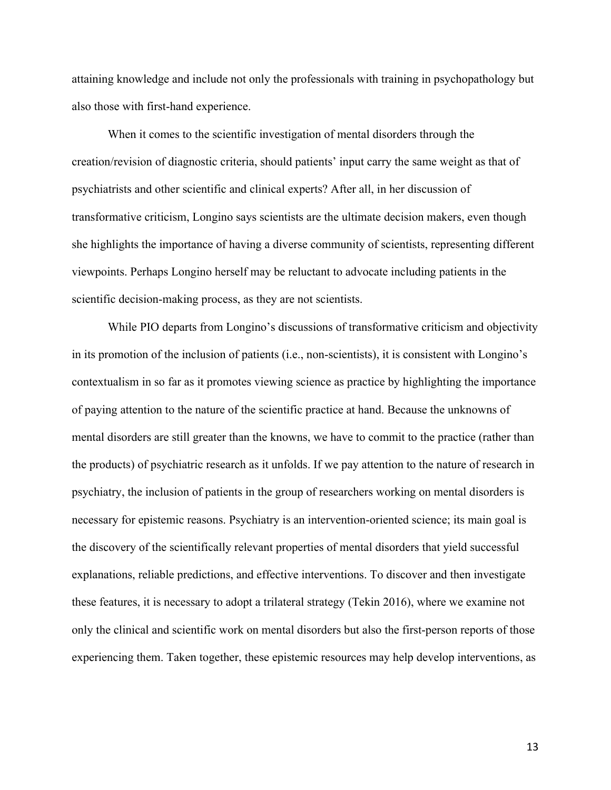attaining knowledge and include not only the professionals with training in psychopathology but also those with first-hand experience.

When it comes to the scientific investigation of mental disorders through the creation/revision of diagnostic criteria, should patients' input carry the same weight as that of psychiatrists and other scientific and clinical experts? After all, in her discussion of transformative criticism, Longino says scientists are the ultimate decision makers, even though she highlights the importance of having a diverse community of scientists, representing different viewpoints. Perhaps Longino herself may be reluctant to advocate including patients in the scientific decision-making process, as they are not scientists.

While PIO departs from Longino's discussions of transformative criticism and objectivity in its promotion of the inclusion of patients (i.e., non-scientists), it is consistent with Longino's contextualism in so far as it promotes viewing science as practice by highlighting the importance of paying attention to the nature of the scientific practice at hand. Because the unknowns of mental disorders are still greater than the knowns, we have to commit to the practice (rather than the products) of psychiatric research as it unfolds. If we pay attention to the nature of research in psychiatry, the inclusion of patients in the group of researchers working on mental disorders is necessary for epistemic reasons. Psychiatry is an intervention-oriented science; its main goal is the discovery of the scientifically relevant properties of mental disorders that yield successful explanations, reliable predictions, and effective interventions. To discover and then investigate these features, it is necessary to adopt a trilateral strategy (Tekin 2016), where we examine not only the clinical and scientific work on mental disorders but also the first-person reports of those experiencing them. Taken together, these epistemic resources may help develop interventions, as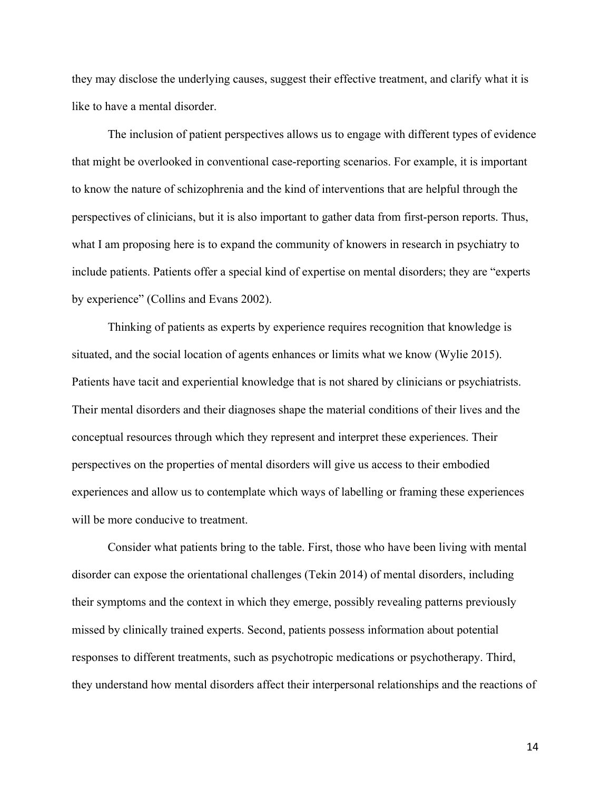they may disclose the underlying causes, suggest their effective treatment, and clarify what it is like to have a mental disorder.

The inclusion of patient perspectives allows us to engage with different types of evidence that might be overlooked in conventional case-reporting scenarios. For example, it is important to know the nature of schizophrenia and the kind of interventions that are helpful through the perspectives of clinicians, but it is also important to gather data from first-person reports. Thus, what I am proposing here is to expand the community of knowers in research in psychiatry to include patients. Patients offer a special kind of expertise on mental disorders; they are "experts by experience" (Collins and Evans 2002).

Thinking of patients as experts by experience requires recognition that knowledge is situated, and the social location of agents enhances or limits what we know (Wylie 2015). Patients have tacit and experiential knowledge that is not shared by clinicians or psychiatrists. Their mental disorders and their diagnoses shape the material conditions of their lives and the conceptual resources through which they represent and interpret these experiences. Their perspectives on the properties of mental disorders will give us access to their embodied experiences and allow us to contemplate which ways of labelling or framing these experiences will be more conducive to treatment.

Consider what patients bring to the table. First, those who have been living with mental disorder can expose the orientational challenges (Tekin 2014) of mental disorders, including their symptoms and the context in which they emerge, possibly revealing patterns previously missed by clinically trained experts. Second, patients possess information about potential responses to different treatments, such as psychotropic medications or psychotherapy. Third, they understand how mental disorders affect their interpersonal relationships and the reactions of

14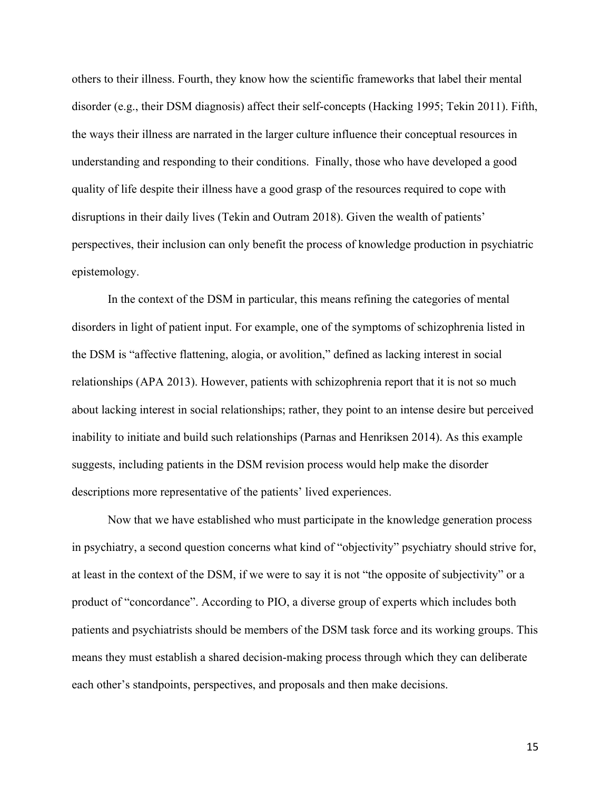others to their illness. Fourth, they know how the scientific frameworks that label their mental disorder (e.g., their DSM diagnosis) affect their self-concepts (Hacking 1995; Tekin 2011). Fifth, the ways their illness are narrated in the larger culture influence their conceptual resources in understanding and responding to their conditions. Finally, those who have developed a good quality of life despite their illness have a good grasp of the resources required to cope with disruptions in their daily lives (Tekin and Outram 2018). Given the wealth of patients' perspectives, their inclusion can only benefit the process of knowledge production in psychiatric epistemology.

In the context of the DSM in particular, this means refining the categories of mental disorders in light of patient input. For example, one of the symptoms of schizophrenia listed in the DSM is "affective flattening, alogia, or avolition," defined as lacking interest in social relationships (APA 2013). However, patients with schizophrenia report that it is not so much about lacking interest in social relationships; rather, they point to an intense desire but perceived inability to initiate and build such relationships (Parnas and Henriksen 2014). As this example suggests, including patients in the DSM revision process would help make the disorder descriptions more representative of the patients' lived experiences.

Now that we have established who must participate in the knowledge generation process in psychiatry, a second question concerns what kind of "objectivity" psychiatry should strive for, at least in the context of the DSM, if we were to say it is not "the opposite of subjectivity" or a product of "concordance". According to PIO, a diverse group of experts which includes both patients and psychiatrists should be members of the DSM task force and its working groups. This means they must establish a shared decision-making process through which they can deliberate each other's standpoints, perspectives, and proposals and then make decisions.

15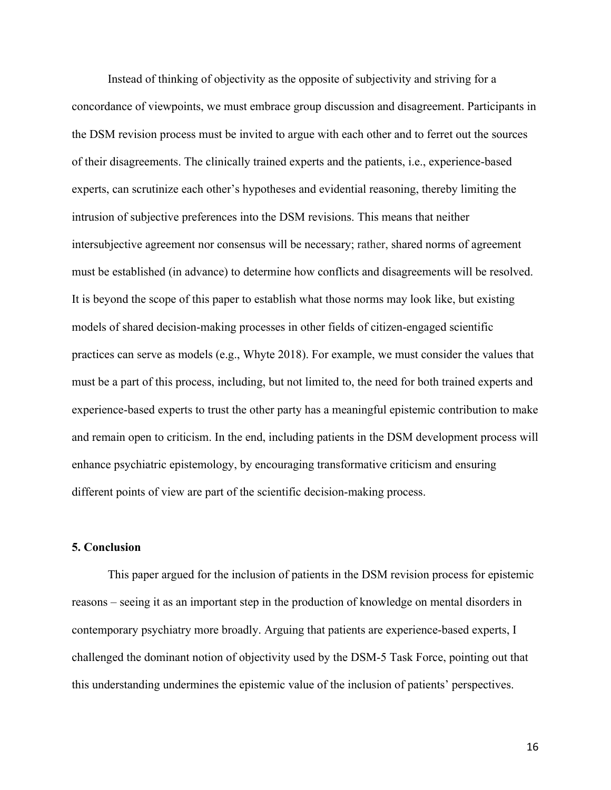Instead of thinking of objectivity as the opposite of subjectivity and striving for a concordance of viewpoints, we must embrace group discussion and disagreement. Participants in the DSM revision process must be invited to argue with each other and to ferret out the sources of their disagreements. The clinically trained experts and the patients, i.e., experience-based experts, can scrutinize each other's hypotheses and evidential reasoning, thereby limiting the intrusion of subjective preferences into the DSM revisions. This means that neither intersubjective agreement nor consensus will be necessary; rather, shared norms of agreement must be established (in advance) to determine how conflicts and disagreements will be resolved. It is beyond the scope of this paper to establish what those norms may look like, but existing models of shared decision-making processes in other fields of citizen-engaged scientific practices can serve as models (e.g., Whyte 2018). For example, we must consider the values that must be a part of this process, including, but not limited to, the need for both trained experts and experience-based experts to trust the other party has a meaningful epistemic contribution to make and remain open to criticism. In the end, including patients in the DSM development process will enhance psychiatric epistemology, by encouraging transformative criticism and ensuring different points of view are part of the scientific decision-making process.

## **5. Conclusion**

This paper argued for the inclusion of patients in the DSM revision process for epistemic reasons – seeing it as an important step in the production of knowledge on mental disorders in contemporary psychiatry more broadly. Arguing that patients are experience-based experts, I challenged the dominant notion of objectivity used by the DSM-5 Task Force, pointing out that this understanding undermines the epistemic value of the inclusion of patients' perspectives.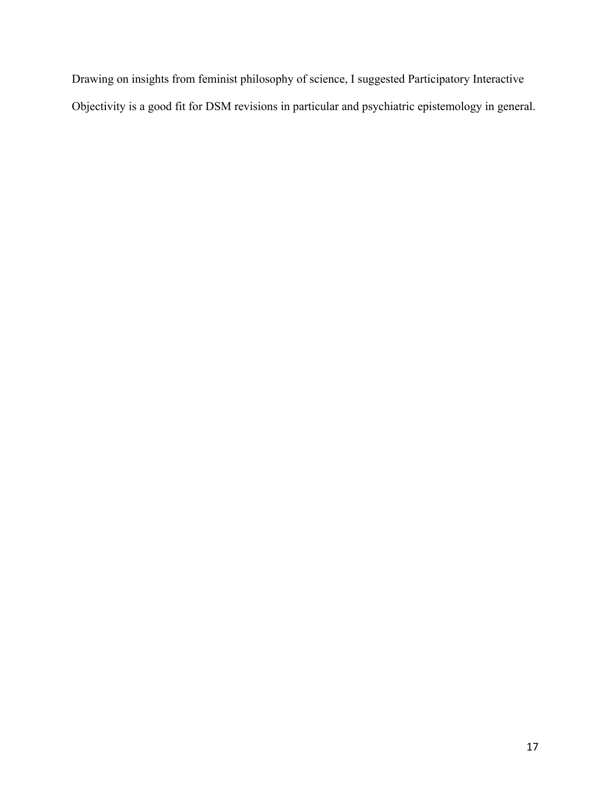Drawing on insights from feminist philosophy of science, I suggested Participatory Interactive Objectivity is a good fit for DSM revisions in particular and psychiatric epistemology in general.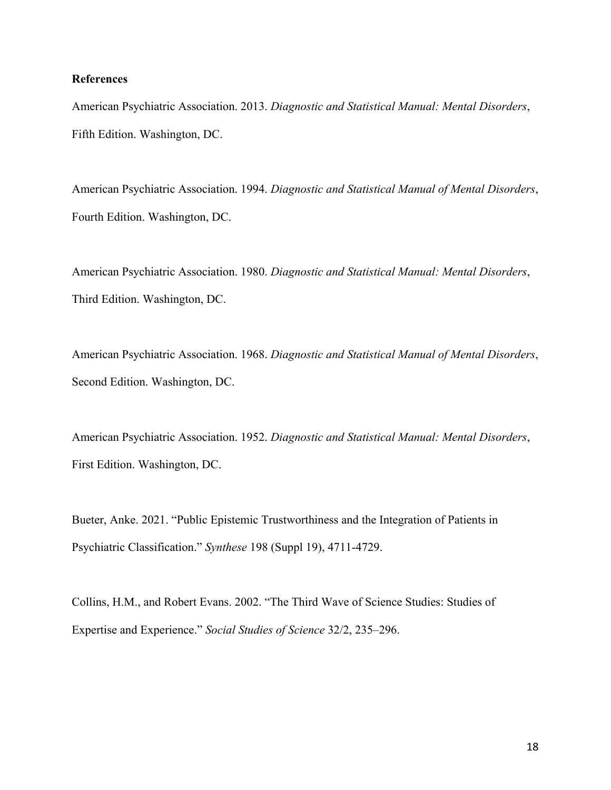## **References**

American Psychiatric Association. 2013. *Diagnostic and Statistical Manual: Mental Disorders*, Fifth Edition. Washington, DC.

American Psychiatric Association. 1994. *Diagnostic and Statistical Manual of Mental Disorders*, Fourth Edition. Washington, DC.

American Psychiatric Association. 1980. *Diagnostic and Statistical Manual: Mental Disorders*, Third Edition. Washington, DC.

American Psychiatric Association. 1968. *Diagnostic and Statistical Manual of Mental Disorders*, Second Edition. Washington, DC.

American Psychiatric Association. 1952. *Diagnostic and Statistical Manual: Mental Disorders*, First Edition. Washington, DC.

Bueter, Anke. 2021. "Public Epistemic Trustworthiness and the Integration of Patients in Psychiatric Classification." *Synthese* 198 (Suppl 19), 4711-4729.

Collins, H.M., and Robert Evans. 2002. "The Third Wave of Science Studies: Studies of Expertise and Experience." *Social Studies of Science* 32/2, 235–296.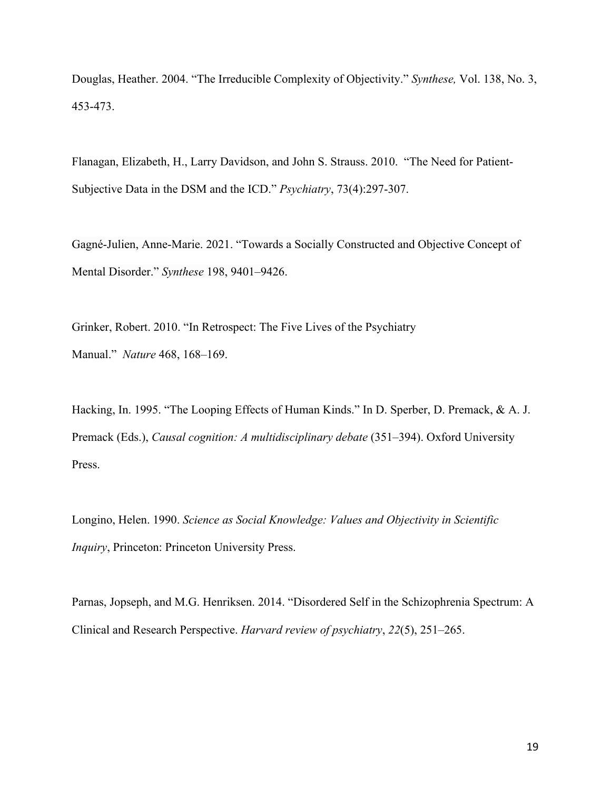Douglas, Heather. 2004. "The Irreducible Complexity of Objectivity." *Synthese,* Vol. 138, No. 3, 453-473.

Flanagan, Elizabeth, H., Larry Davidson, and John S. Strauss. 2010. "The Need for Patient-Subjective Data in the DSM and the ICD." *Psychiatry*, 73(4):297-307.

Gagné-Julien, Anne-Marie. 2021. "Towards a Socially Constructed and Objective Concept of Mental Disorder." *Synthese* 198, 9401–9426.

Grinker, Robert. 2010. "In Retrospect: The Five Lives of the Psychiatry Manual." *Nature* 468, 168–169.

Hacking, In. 1995. "The Looping Effects of Human Kinds." In D. Sperber, D. Premack, & A. J. Premack (Eds.), *Causal cognition: A multidisciplinary debate* (351–394). Oxford University Press.

Longino, Helen. 1990. *Science as Social Knowledge: Values and Objectivity in Scientific Inquiry*, Princeton: Princeton University Press.

Parnas, Jopseph, and M.G. Henriksen. 2014. "Disordered Self in the Schizophrenia Spectrum: A Clinical and Research Perspective. *Harvard review of psychiatry*, *22*(5), 251–265.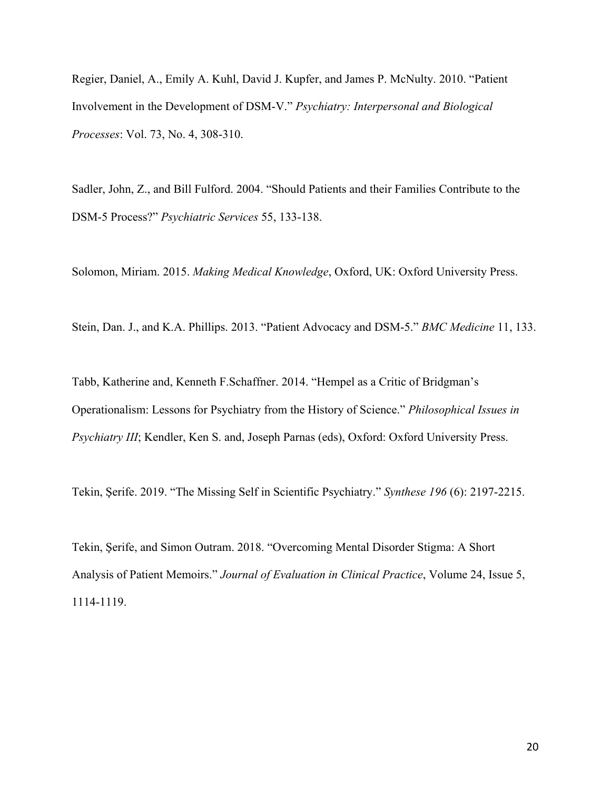Regier, Daniel, A., Emily A. Kuhl, David J. Kupfer, and James P. McNulty. 2010. "Patient Involvement in the Development of DSM-V." *Psychiatry: Interpersonal and Biological Processes*: Vol. 73, No. 4, 308-310.

Sadler, John, Z., and Bill Fulford. 2004. "Should Patients and their Families Contribute to the DSM-5 Process?" *Psychiatric Services* 55, 133-138.

Solomon, Miriam. 2015. *Making Medical Knowledge*, Oxford, UK: Oxford University Press.

Stein, Dan. J., and K.A. Phillips. 2013. "Patient Advocacy and DSM-5." *BMC Medicine* 11, 133.

Tabb, Katherine and, Kenneth F.Schaffner. 2014. "Hempel as a Critic of Bridgman's Operationalism: Lessons for Psychiatry from the History of Science." *Philosophical Issues in Psychiatry III*; Kendler, Ken S. and, Joseph Parnas (eds), Oxford: Oxford University Press.

Tekin, Şerife. 2019. "The Missing Self in Scientific Psychiatry." *Synthese 196* (6): 2197-2215.

Tekin, Şerife, and Simon Outram. 2018. "Overcoming Mental Disorder Stigma: A Short Analysis of Patient Memoirs." *Journal of Evaluation in Clinical Practice*, Volume 24, Issue 5, 1114-1119.